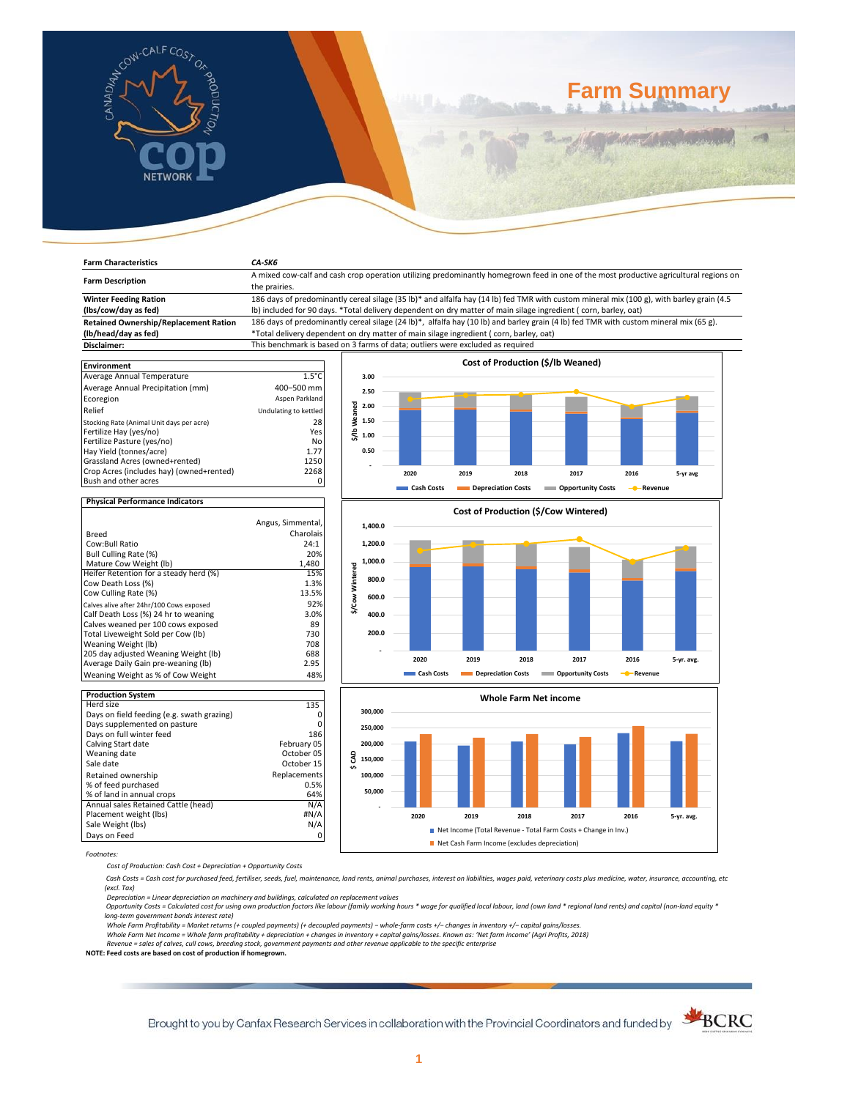

# **Farm Summary**

| <b>Farm Characteristics</b>                                                                                                                                                                                       | CA-SK6                                                                                                                                                                                                                                                                                                                                                                                                                                                                                                                                                                                           |                                                          |                       |                                    |                                   |                    |          |  |
|-------------------------------------------------------------------------------------------------------------------------------------------------------------------------------------------------------------------|--------------------------------------------------------------------------------------------------------------------------------------------------------------------------------------------------------------------------------------------------------------------------------------------------------------------------------------------------------------------------------------------------------------------------------------------------------------------------------------------------------------------------------------------------------------------------------------------------|----------------------------------------------------------|-----------------------|------------------------------------|-----------------------------------|--------------------|----------|--|
| <b>Farm Description</b>                                                                                                                                                                                           | A mixed cow-calf and cash crop operation utilizing predominantly homegrown feed in one of the most productive agricultural regions on                                                                                                                                                                                                                                                                                                                                                                                                                                                            |                                                          |                       |                                    |                                   |                    |          |  |
| <b>Winter Feeding Ration</b><br>(lbs/cow/day as fed)<br><b>Retained Ownership/Replacement Ration</b><br>(lb/head/day as fed)<br>Disclaimer:                                                                       | the prairies.<br>186 days of predominantly cereal silage (35 lb)* and alfalfa hay (14 lb) fed TMR with custom mineral mix (100 g), with barley grain (4.5<br>Ib) included for 90 days. *Total delivery dependent on dry matter of main silage ingredient (corn, barley, oat)<br>186 days of predominantly cereal silage (24 lb)*, alfalfa hay (10 lb) and barley grain (4 lb) fed TMR with custom mineral mix (65 g).<br>*Total delivery dependent on dry matter of main silage ingredient (corn, barley, oat)<br>This benchmark is based on 3 farms of data; outliers were excluded as required |                                                          |                       |                                    |                                   |                    |          |  |
| <b>Environment</b><br>Average Annual Temperature<br>Average Annual Precipitation (mm)<br>Ecoregion<br>Relief<br>Stocking Rate (Animal Unit days per acre)<br>Fertilize Hay (yes/no)<br>Fertilize Pasture (yes/no) | $1.5^{\circ}$ C<br>400-500 mm<br>Aspen Parkland<br>Undulating to kettled<br>28<br>Yes<br>No                                                                                                                                                                                                                                                                                                                                                                                                                                                                                                      | 3.00<br>2.50<br>꿈<br>2.00<br>1.50<br>$\frac{8}{30}$ 1.00 |                       |                                    | Cost of Production (\$/lb Weaned) |                    |          |  |
| Hay Yield (tonnes/acre)<br>Grassland Acres (owned+rented)<br>Crop Acres (includes hay) (owned+rented)<br>Bush and other acres                                                                                     | 1.77<br>1250<br>2268                                                                                                                                                                                                                                                                                                                                                                                                                                                                                                                                                                             | 0.50                                                     | 2020<br>- Coele Coete | 2019<br>2018<br>Donvociation Costs | 2017<br>Onnovtunity Costs         | 2016<br>$D$ auanua | 5-yr avg |  |

# **Physical Performance Indicators**

|                                          | Angus, Simmental, |
|------------------------------------------|-------------------|
| Breed                                    | Charolais         |
| Cow:Bull Ratio                           | 24:1              |
| Bull Culling Rate (%)                    | 20%               |
| Mature Cow Weight (lb)                   | 1,480             |
| Heifer Retention for a steady herd (%)   | 15%               |
| Cow Death Loss (%)                       | 1.3%              |
| Cow Culling Rate (%)                     | 13.5%             |
| Calves alive after 24hr/100 Cows exposed | 92%               |
| Calf Death Loss (%) 24 hr to weaning     | 3.0%              |
| Calves weaned per 100 cows exposed       | 89                |
| Total Liveweight Sold per Cow (lb)       | 730               |
| Weaning Weight (lb)                      | 708               |
| 205 day adjusted Weaning Weight (lb)     | 688               |
| Average Daily Gain pre-weaning (lb)      | 2.95              |
| Weaning Weight as % of Cow Weight        | 48%               |

| <b>Production System</b>                   |              |
|--------------------------------------------|--------------|
| Herd size                                  | 135          |
| Days on field feeding (e.g. swath grazing) | Ω            |
| Days supplemented on pasture               | Ω            |
| Days on full winter feed                   | 186          |
| Calving Start date                         | February 05  |
| Weaning date                               | October 05   |
| Sale date                                  | October 15   |
| Retained ownership                         | Replacements |
| % of feed purchased                        | 0.5%         |
| % of land in annual crops                  | 64%          |
| Annual sales Retained Cattle (head)        | N/A          |
| Placement weight (lbs)                     | #N/A         |
| Sale Weight (lbs)                          | N/A          |
| Days on Feed                               | Ω            |







*Footnotes:*

*Cost of Production: Cash Cost + Depreciation + Opportunity Costs*

 *Cash Costs = Cash cost for purchased feed, fertiliser, seeds, fuel, maintenance, land rents, animal purchases, interest on liabilities, wages paid, veterinary costs plus medicine, water, insurance, accounting, etc (excl. Tax)* 

Depreciation = Linear depreciation on machinery and buildings, calculated on replacement values<br>Opportunity Costs = Calculated cost for using own production factors like labour (family working hours \* wage for qualified lo

*long-term government bonds interest rate)* 

Whole Farm Profitability = Market returns (+ coupled payments) (+ decoupled payments) – whole-farm costs +/– changes in inventory +/– capital gains/losses.<br>Whole Farm Net Income = Whole farm profitability + depreciation +

*Revenue = sales of calves, cull cows, breeding stock, government payments and other revenue applicable to the specific enterprise* **NOTE: Feed costs are based on cost of production if homegrown.**

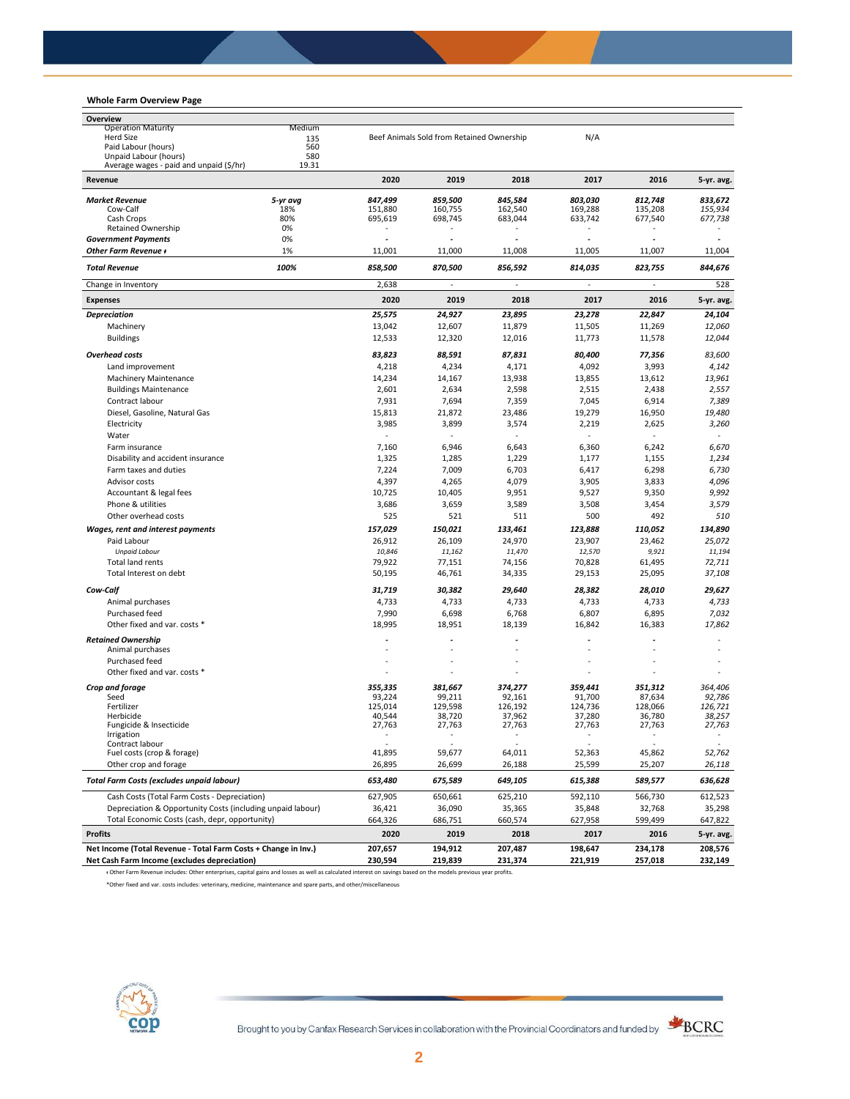# **Whole Farm Overview Page**

| <b>Operation Maturity</b><br>Medium<br>Herd Size<br>Beef Animals Sold from Retained Ownership<br>N/A<br>135<br>Paid Labour (hours)<br>560<br>Unpaid Labour (hours)<br>580<br>19.31<br>Average wages - paid and unpaid (\$/hr)<br>2020<br>2019<br>2018<br>2017<br>2016<br>Revenue<br><b>Market Revenue</b><br>5-yr avg<br>847,499<br>859,500<br>845,584<br>803,030<br>812,748<br>833,672<br>18%<br>151,880<br>160,755<br>162,540<br>169,288<br>135,208<br>155.934<br>Cow-Calf<br>Cash Crops<br>80%<br>695,619<br>698,745<br>683,044<br>633,742<br>677,540<br>677,738<br>0%<br><b>Retained Ownership</b><br>$\sim$<br>0%<br><b>Government Payments</b><br>$\overline{\phantom{a}}$<br>$\tilde{\phantom{a}}$<br>٠<br>٠<br>$\tilde{\phantom{a}}$<br>Other Farm Revenue +<br>1%<br>11,008<br>11,001<br>11,000<br>11,005<br>11,007<br>11,004<br><b>Total Revenue</b><br>100%<br>858,500<br>870,500<br>856,592<br>814,035<br>823,755<br>844,676<br>2,638<br>Change in Inventory<br>528<br>$\overline{\phantom{a}}$<br>$\overline{\phantom{a}}$<br>$\overline{\phantom{a}}$<br>2020<br>2019<br>2018<br>2017<br>2016<br><b>Expenses</b><br>25,575<br>24,927<br>23,895<br>23,278<br>22,847<br>24,104<br><b>Depreciation</b><br>Machinery<br>13,042<br>12,607<br>11,879<br>11,505<br>11,269<br>12,060<br>12,533<br><b>Buildings</b><br>12,320<br>12,016<br>11,773<br>11,578<br>12,044<br><b>Overhead costs</b><br>83,823<br>88,591<br>87,831<br>80,400<br>77,356<br>83,600<br>Land improvement<br>4,218<br>4,234<br>4,171<br>4,092<br>3,993<br>4,142<br>14,234<br>13,938<br>13,612<br>13,961<br><b>Machinery Maintenance</b><br>14,167<br>13,855<br><b>Buildings Maintenance</b><br>2,601<br>2,634<br>2,598<br>2,515<br>2,438<br>2,557<br>Contract labour<br>7,931<br>7,694<br>7,359<br>7,045<br>6,914<br>7,389<br>16,950<br>19,480<br>Diesel, Gasoline, Natural Gas<br>15,813<br>21,872<br>23,486<br>19,279<br>Electricity<br>3,985<br>3,899<br>3,574<br>2,219<br>2,625<br>3,260<br>Water<br>$\sim$<br>$\sim$<br>7,160<br>6,946<br>6,643<br>6,360<br>6,242<br>6,670<br>Farm insurance<br>1,325<br>1,229<br>1,234<br>Disability and accident insurance<br>1,285<br>1,177<br>1,155<br>6,730<br>Farm taxes and duties<br>7,224<br>7,009<br>6,703<br>6,417<br>6,298<br>4,096<br>Advisor costs<br>4,397<br>4,265<br>4,079<br>3,905<br>3,833<br>9,992<br>Accountant & legal fees<br>10,725<br>10,405<br>9,951<br>9,527<br>9,350<br>3,579<br>Phone & utilities<br>3,686<br>3,659<br>3,589<br>3,508<br>3,454<br>510<br>Other overhead costs<br>525<br>521<br>511<br>500<br>492<br>150,021<br>134,890<br>Wages, rent and interest payments<br>157,029<br>133,461<br>123,888<br>110,052<br>Paid Labour<br>26,912<br>26,109<br>24,970<br>23,907<br>23,462<br>25,072<br><b>Unpaid Labour</b><br>10,846<br>11,162<br>11,470<br>12,570<br>9,921<br>11,194<br><b>Total land rents</b><br>79,922<br>77,151<br>74,156<br>70,828<br>61,495<br>72,711<br>Total Interest on debt<br>50,195<br>25,095<br>37,108<br>46,761<br>34,335<br>29,153<br>30,382<br>28,010<br>29,627<br>Cow-Calf<br>31,719<br>29,640<br>28,382<br>Animal purchases<br>4,733<br>4,733<br>4,733<br>4,733<br>4,733<br>4,733<br>Purchased feed<br>7,990<br>6,698<br>6,768<br>6,807<br>6,895<br>7,032<br>18,995<br>17,862<br>Other fixed and var. costs *<br>18,951<br>18,139<br>16,842<br>16,383<br><b>Retained Ownership</b><br>Animal purchases<br>Purchased feed<br>Other fixed and var. costs *<br>Crop and forage<br>355.335<br>381,667<br>374,277<br>359,441<br>364,406<br>351,312<br>Seed<br>93,224<br>99,211<br>92,161<br>91,700<br>87,634<br>92,786<br>124,736<br>128,066<br>126,721<br>Fertilizer<br>125,014<br>129,598<br>126,192<br>40,544<br>38,720<br>37,962<br>37,280<br>36,780<br>38,257<br>Herbicide<br>27,763<br>27,763<br>27,763<br>27,763<br>Fungicide & Insecticide<br>27,763<br>27,763<br>irrigation<br>Contract labour<br>$\sim$<br>$\sim$<br>Fuel costs (crop & forage)<br>41,895<br>59,677<br>64,011<br>52,363<br>45,862<br>52,762<br>Other crop and forage<br>26,895<br>26,699<br>26,188<br>25,599<br>25,207<br>26,118<br><b>Total Farm Costs (excludes unpaid labour)</b><br>653,480<br>675,589<br>649,105<br>615,388<br>589,577<br>636,628<br>Cash Costs (Total Farm Costs - Depreciation)<br>627,905<br>650,661<br>625,210<br>592,110<br>566,730<br>612,523<br>Depreciation & Opportunity Costs (including unpaid labour)<br>36,090<br>36,421<br>35,365<br>35,848<br>32,768<br>35,298<br>Total Economic Costs (cash, depr, opportunity)<br>664,326<br>686,751<br>660,574<br>627,958<br>599,499<br>647,822<br><b>Profits</b><br>2020<br>2019<br>2018<br>2016<br>2017<br>5-yr. avg.<br>Net Income (Total Revenue - Total Farm Costs + Change in Inv.)<br>207,657<br>194,912<br>207,487<br>198,647<br>234,178<br>208,576<br>Net Cash Farm Income (excludes depreciation)<br>230,594<br>219,839<br>221,919<br>257,018<br>231,374 | Overview |  |  |  |            |
|-----------------------------------------------------------------------------------------------------------------------------------------------------------------------------------------------------------------------------------------------------------------------------------------------------------------------------------------------------------------------------------------------------------------------------------------------------------------------------------------------------------------------------------------------------------------------------------------------------------------------------------------------------------------------------------------------------------------------------------------------------------------------------------------------------------------------------------------------------------------------------------------------------------------------------------------------------------------------------------------------------------------------------------------------------------------------------------------------------------------------------------------------------------------------------------------------------------------------------------------------------------------------------------------------------------------------------------------------------------------------------------------------------------------------------------------------------------------------------------------------------------------------------------------------------------------------------------------------------------------------------------------------------------------------------------------------------------------------------------------------------------------------------------------------------------------------------------------------------------------------------------------------------------------------------------------------------------------------------------------------------------------------------------------------------------------------------------------------------------------------------------------------------------------------------------------------------------------------------------------------------------------------------------------------------------------------------------------------------------------------------------------------------------------------------------------------------------------------------------------------------------------------------------------------------------------------------------------------------------------------------------------------------------------------------------------------------------------------------------------------------------------------------------------------------------------------------------------------------------------------------------------------------------------------------------------------------------------------------------------------------------------------------------------------------------------------------------------------------------------------------------------------------------------------------------------------------------------------------------------------------------------------------------------------------------------------------------------------------------------------------------------------------------------------------------------------------------------------------------------------------------------------------------------------------------------------------------------------------------------------------------------------------------------------------------------------------------------------------------------------------------------------------------------------------------------------------------------------------------------------------------------------------------------------------------------------------------------------------------------------------------------------------------------------------------------------------------------------------------------------------------------------------------------------------------------------------------------------------------------------------------------------------------------------------------------------------------------------------------------------------------------------------------------------------------------------------------------------------------------------------------------------------------------------------------------------------------------------------------------------------------------------------------------------------------------------------------------------------------------------------------------------------------------------------------------------------------------------------------------------------------------------|----------|--|--|--|------------|
|                                                                                                                                                                                                                                                                                                                                                                                                                                                                                                                                                                                                                                                                                                                                                                                                                                                                                                                                                                                                                                                                                                                                                                                                                                                                                                                                                                                                                                                                                                                                                                                                                                                                                                                                                                                                                                                                                                                                                                                                                                                                                                                                                                                                                                                                                                                                                                                                                                                                                                                                                                                                                                                                                                                                                                                                                                                                                                                                                                                                                                                                                                                                                                                                                                                                                                                                                                                                                                                                                                                                                                                                                                                                                                                                                                                                                                                                                                                                                                                                                                                                                                                                                                                                                                                                                                                                                                                                                                                                                                                                                                                                                                                                                                                                                                                                                                                                                               |          |  |  |  |            |
|                                                                                                                                                                                                                                                                                                                                                                                                                                                                                                                                                                                                                                                                                                                                                                                                                                                                                                                                                                                                                                                                                                                                                                                                                                                                                                                                                                                                                                                                                                                                                                                                                                                                                                                                                                                                                                                                                                                                                                                                                                                                                                                                                                                                                                                                                                                                                                                                                                                                                                                                                                                                                                                                                                                                                                                                                                                                                                                                                                                                                                                                                                                                                                                                                                                                                                                                                                                                                                                                                                                                                                                                                                                                                                                                                                                                                                                                                                                                                                                                                                                                                                                                                                                                                                                                                                                                                                                                                                                                                                                                                                                                                                                                                                                                                                                                                                                                                               |          |  |  |  |            |
|                                                                                                                                                                                                                                                                                                                                                                                                                                                                                                                                                                                                                                                                                                                                                                                                                                                                                                                                                                                                                                                                                                                                                                                                                                                                                                                                                                                                                                                                                                                                                                                                                                                                                                                                                                                                                                                                                                                                                                                                                                                                                                                                                                                                                                                                                                                                                                                                                                                                                                                                                                                                                                                                                                                                                                                                                                                                                                                                                                                                                                                                                                                                                                                                                                                                                                                                                                                                                                                                                                                                                                                                                                                                                                                                                                                                                                                                                                                                                                                                                                                                                                                                                                                                                                                                                                                                                                                                                                                                                                                                                                                                                                                                                                                                                                                                                                                                                               |          |  |  |  |            |
|                                                                                                                                                                                                                                                                                                                                                                                                                                                                                                                                                                                                                                                                                                                                                                                                                                                                                                                                                                                                                                                                                                                                                                                                                                                                                                                                                                                                                                                                                                                                                                                                                                                                                                                                                                                                                                                                                                                                                                                                                                                                                                                                                                                                                                                                                                                                                                                                                                                                                                                                                                                                                                                                                                                                                                                                                                                                                                                                                                                                                                                                                                                                                                                                                                                                                                                                                                                                                                                                                                                                                                                                                                                                                                                                                                                                                                                                                                                                                                                                                                                                                                                                                                                                                                                                                                                                                                                                                                                                                                                                                                                                                                                                                                                                                                                                                                                                                               |          |  |  |  |            |
|                                                                                                                                                                                                                                                                                                                                                                                                                                                                                                                                                                                                                                                                                                                                                                                                                                                                                                                                                                                                                                                                                                                                                                                                                                                                                                                                                                                                                                                                                                                                                                                                                                                                                                                                                                                                                                                                                                                                                                                                                                                                                                                                                                                                                                                                                                                                                                                                                                                                                                                                                                                                                                                                                                                                                                                                                                                                                                                                                                                                                                                                                                                                                                                                                                                                                                                                                                                                                                                                                                                                                                                                                                                                                                                                                                                                                                                                                                                                                                                                                                                                                                                                                                                                                                                                                                                                                                                                                                                                                                                                                                                                                                                                                                                                                                                                                                                                                               |          |  |  |  | 5-yr. avg. |
|                                                                                                                                                                                                                                                                                                                                                                                                                                                                                                                                                                                                                                                                                                                                                                                                                                                                                                                                                                                                                                                                                                                                                                                                                                                                                                                                                                                                                                                                                                                                                                                                                                                                                                                                                                                                                                                                                                                                                                                                                                                                                                                                                                                                                                                                                                                                                                                                                                                                                                                                                                                                                                                                                                                                                                                                                                                                                                                                                                                                                                                                                                                                                                                                                                                                                                                                                                                                                                                                                                                                                                                                                                                                                                                                                                                                                                                                                                                                                                                                                                                                                                                                                                                                                                                                                                                                                                                                                                                                                                                                                                                                                                                                                                                                                                                                                                                                                               |          |  |  |  |            |
|                                                                                                                                                                                                                                                                                                                                                                                                                                                                                                                                                                                                                                                                                                                                                                                                                                                                                                                                                                                                                                                                                                                                                                                                                                                                                                                                                                                                                                                                                                                                                                                                                                                                                                                                                                                                                                                                                                                                                                                                                                                                                                                                                                                                                                                                                                                                                                                                                                                                                                                                                                                                                                                                                                                                                                                                                                                                                                                                                                                                                                                                                                                                                                                                                                                                                                                                                                                                                                                                                                                                                                                                                                                                                                                                                                                                                                                                                                                                                                                                                                                                                                                                                                                                                                                                                                                                                                                                                                                                                                                                                                                                                                                                                                                                                                                                                                                                                               |          |  |  |  |            |
|                                                                                                                                                                                                                                                                                                                                                                                                                                                                                                                                                                                                                                                                                                                                                                                                                                                                                                                                                                                                                                                                                                                                                                                                                                                                                                                                                                                                                                                                                                                                                                                                                                                                                                                                                                                                                                                                                                                                                                                                                                                                                                                                                                                                                                                                                                                                                                                                                                                                                                                                                                                                                                                                                                                                                                                                                                                                                                                                                                                                                                                                                                                                                                                                                                                                                                                                                                                                                                                                                                                                                                                                                                                                                                                                                                                                                                                                                                                                                                                                                                                                                                                                                                                                                                                                                                                                                                                                                                                                                                                                                                                                                                                                                                                                                                                                                                                                                               |          |  |  |  |            |
|                                                                                                                                                                                                                                                                                                                                                                                                                                                                                                                                                                                                                                                                                                                                                                                                                                                                                                                                                                                                                                                                                                                                                                                                                                                                                                                                                                                                                                                                                                                                                                                                                                                                                                                                                                                                                                                                                                                                                                                                                                                                                                                                                                                                                                                                                                                                                                                                                                                                                                                                                                                                                                                                                                                                                                                                                                                                                                                                                                                                                                                                                                                                                                                                                                                                                                                                                                                                                                                                                                                                                                                                                                                                                                                                                                                                                                                                                                                                                                                                                                                                                                                                                                                                                                                                                                                                                                                                                                                                                                                                                                                                                                                                                                                                                                                                                                                                                               |          |  |  |  |            |
|                                                                                                                                                                                                                                                                                                                                                                                                                                                                                                                                                                                                                                                                                                                                                                                                                                                                                                                                                                                                                                                                                                                                                                                                                                                                                                                                                                                                                                                                                                                                                                                                                                                                                                                                                                                                                                                                                                                                                                                                                                                                                                                                                                                                                                                                                                                                                                                                                                                                                                                                                                                                                                                                                                                                                                                                                                                                                                                                                                                                                                                                                                                                                                                                                                                                                                                                                                                                                                                                                                                                                                                                                                                                                                                                                                                                                                                                                                                                                                                                                                                                                                                                                                                                                                                                                                                                                                                                                                                                                                                                                                                                                                                                                                                                                                                                                                                                                               |          |  |  |  |            |
|                                                                                                                                                                                                                                                                                                                                                                                                                                                                                                                                                                                                                                                                                                                                                                                                                                                                                                                                                                                                                                                                                                                                                                                                                                                                                                                                                                                                                                                                                                                                                                                                                                                                                                                                                                                                                                                                                                                                                                                                                                                                                                                                                                                                                                                                                                                                                                                                                                                                                                                                                                                                                                                                                                                                                                                                                                                                                                                                                                                                                                                                                                                                                                                                                                                                                                                                                                                                                                                                                                                                                                                                                                                                                                                                                                                                                                                                                                                                                                                                                                                                                                                                                                                                                                                                                                                                                                                                                                                                                                                                                                                                                                                                                                                                                                                                                                                                                               |          |  |  |  |            |
|                                                                                                                                                                                                                                                                                                                                                                                                                                                                                                                                                                                                                                                                                                                                                                                                                                                                                                                                                                                                                                                                                                                                                                                                                                                                                                                                                                                                                                                                                                                                                                                                                                                                                                                                                                                                                                                                                                                                                                                                                                                                                                                                                                                                                                                                                                                                                                                                                                                                                                                                                                                                                                                                                                                                                                                                                                                                                                                                                                                                                                                                                                                                                                                                                                                                                                                                                                                                                                                                                                                                                                                                                                                                                                                                                                                                                                                                                                                                                                                                                                                                                                                                                                                                                                                                                                                                                                                                                                                                                                                                                                                                                                                                                                                                                                                                                                                                                               |          |  |  |  |            |
|                                                                                                                                                                                                                                                                                                                                                                                                                                                                                                                                                                                                                                                                                                                                                                                                                                                                                                                                                                                                                                                                                                                                                                                                                                                                                                                                                                                                                                                                                                                                                                                                                                                                                                                                                                                                                                                                                                                                                                                                                                                                                                                                                                                                                                                                                                                                                                                                                                                                                                                                                                                                                                                                                                                                                                                                                                                                                                                                                                                                                                                                                                                                                                                                                                                                                                                                                                                                                                                                                                                                                                                                                                                                                                                                                                                                                                                                                                                                                                                                                                                                                                                                                                                                                                                                                                                                                                                                                                                                                                                                                                                                                                                                                                                                                                                                                                                                                               |          |  |  |  |            |
|                                                                                                                                                                                                                                                                                                                                                                                                                                                                                                                                                                                                                                                                                                                                                                                                                                                                                                                                                                                                                                                                                                                                                                                                                                                                                                                                                                                                                                                                                                                                                                                                                                                                                                                                                                                                                                                                                                                                                                                                                                                                                                                                                                                                                                                                                                                                                                                                                                                                                                                                                                                                                                                                                                                                                                                                                                                                                                                                                                                                                                                                                                                                                                                                                                                                                                                                                                                                                                                                                                                                                                                                                                                                                                                                                                                                                                                                                                                                                                                                                                                                                                                                                                                                                                                                                                                                                                                                                                                                                                                                                                                                                                                                                                                                                                                                                                                                                               |          |  |  |  | 5-yr. avg. |
|                                                                                                                                                                                                                                                                                                                                                                                                                                                                                                                                                                                                                                                                                                                                                                                                                                                                                                                                                                                                                                                                                                                                                                                                                                                                                                                                                                                                                                                                                                                                                                                                                                                                                                                                                                                                                                                                                                                                                                                                                                                                                                                                                                                                                                                                                                                                                                                                                                                                                                                                                                                                                                                                                                                                                                                                                                                                                                                                                                                                                                                                                                                                                                                                                                                                                                                                                                                                                                                                                                                                                                                                                                                                                                                                                                                                                                                                                                                                                                                                                                                                                                                                                                                                                                                                                                                                                                                                                                                                                                                                                                                                                                                                                                                                                                                                                                                                                               |          |  |  |  |            |
|                                                                                                                                                                                                                                                                                                                                                                                                                                                                                                                                                                                                                                                                                                                                                                                                                                                                                                                                                                                                                                                                                                                                                                                                                                                                                                                                                                                                                                                                                                                                                                                                                                                                                                                                                                                                                                                                                                                                                                                                                                                                                                                                                                                                                                                                                                                                                                                                                                                                                                                                                                                                                                                                                                                                                                                                                                                                                                                                                                                                                                                                                                                                                                                                                                                                                                                                                                                                                                                                                                                                                                                                                                                                                                                                                                                                                                                                                                                                                                                                                                                                                                                                                                                                                                                                                                                                                                                                                                                                                                                                                                                                                                                                                                                                                                                                                                                                                               |          |  |  |  |            |
|                                                                                                                                                                                                                                                                                                                                                                                                                                                                                                                                                                                                                                                                                                                                                                                                                                                                                                                                                                                                                                                                                                                                                                                                                                                                                                                                                                                                                                                                                                                                                                                                                                                                                                                                                                                                                                                                                                                                                                                                                                                                                                                                                                                                                                                                                                                                                                                                                                                                                                                                                                                                                                                                                                                                                                                                                                                                                                                                                                                                                                                                                                                                                                                                                                                                                                                                                                                                                                                                                                                                                                                                                                                                                                                                                                                                                                                                                                                                                                                                                                                                                                                                                                                                                                                                                                                                                                                                                                                                                                                                                                                                                                                                                                                                                                                                                                                                                               |          |  |  |  |            |
|                                                                                                                                                                                                                                                                                                                                                                                                                                                                                                                                                                                                                                                                                                                                                                                                                                                                                                                                                                                                                                                                                                                                                                                                                                                                                                                                                                                                                                                                                                                                                                                                                                                                                                                                                                                                                                                                                                                                                                                                                                                                                                                                                                                                                                                                                                                                                                                                                                                                                                                                                                                                                                                                                                                                                                                                                                                                                                                                                                                                                                                                                                                                                                                                                                                                                                                                                                                                                                                                                                                                                                                                                                                                                                                                                                                                                                                                                                                                                                                                                                                                                                                                                                                                                                                                                                                                                                                                                                                                                                                                                                                                                                                                                                                                                                                                                                                                                               |          |  |  |  |            |
|                                                                                                                                                                                                                                                                                                                                                                                                                                                                                                                                                                                                                                                                                                                                                                                                                                                                                                                                                                                                                                                                                                                                                                                                                                                                                                                                                                                                                                                                                                                                                                                                                                                                                                                                                                                                                                                                                                                                                                                                                                                                                                                                                                                                                                                                                                                                                                                                                                                                                                                                                                                                                                                                                                                                                                                                                                                                                                                                                                                                                                                                                                                                                                                                                                                                                                                                                                                                                                                                                                                                                                                                                                                                                                                                                                                                                                                                                                                                                                                                                                                                                                                                                                                                                                                                                                                                                                                                                                                                                                                                                                                                                                                                                                                                                                                                                                                                                               |          |  |  |  |            |
|                                                                                                                                                                                                                                                                                                                                                                                                                                                                                                                                                                                                                                                                                                                                                                                                                                                                                                                                                                                                                                                                                                                                                                                                                                                                                                                                                                                                                                                                                                                                                                                                                                                                                                                                                                                                                                                                                                                                                                                                                                                                                                                                                                                                                                                                                                                                                                                                                                                                                                                                                                                                                                                                                                                                                                                                                                                                                                                                                                                                                                                                                                                                                                                                                                                                                                                                                                                                                                                                                                                                                                                                                                                                                                                                                                                                                                                                                                                                                                                                                                                                                                                                                                                                                                                                                                                                                                                                                                                                                                                                                                                                                                                                                                                                                                                                                                                                                               |          |  |  |  |            |
|                                                                                                                                                                                                                                                                                                                                                                                                                                                                                                                                                                                                                                                                                                                                                                                                                                                                                                                                                                                                                                                                                                                                                                                                                                                                                                                                                                                                                                                                                                                                                                                                                                                                                                                                                                                                                                                                                                                                                                                                                                                                                                                                                                                                                                                                                                                                                                                                                                                                                                                                                                                                                                                                                                                                                                                                                                                                                                                                                                                                                                                                                                                                                                                                                                                                                                                                                                                                                                                                                                                                                                                                                                                                                                                                                                                                                                                                                                                                                                                                                                                                                                                                                                                                                                                                                                                                                                                                                                                                                                                                                                                                                                                                                                                                                                                                                                                                                               |          |  |  |  |            |
|                                                                                                                                                                                                                                                                                                                                                                                                                                                                                                                                                                                                                                                                                                                                                                                                                                                                                                                                                                                                                                                                                                                                                                                                                                                                                                                                                                                                                                                                                                                                                                                                                                                                                                                                                                                                                                                                                                                                                                                                                                                                                                                                                                                                                                                                                                                                                                                                                                                                                                                                                                                                                                                                                                                                                                                                                                                                                                                                                                                                                                                                                                                                                                                                                                                                                                                                                                                                                                                                                                                                                                                                                                                                                                                                                                                                                                                                                                                                                                                                                                                                                                                                                                                                                                                                                                                                                                                                                                                                                                                                                                                                                                                                                                                                                                                                                                                                                               |          |  |  |  |            |
|                                                                                                                                                                                                                                                                                                                                                                                                                                                                                                                                                                                                                                                                                                                                                                                                                                                                                                                                                                                                                                                                                                                                                                                                                                                                                                                                                                                                                                                                                                                                                                                                                                                                                                                                                                                                                                                                                                                                                                                                                                                                                                                                                                                                                                                                                                                                                                                                                                                                                                                                                                                                                                                                                                                                                                                                                                                                                                                                                                                                                                                                                                                                                                                                                                                                                                                                                                                                                                                                                                                                                                                                                                                                                                                                                                                                                                                                                                                                                                                                                                                                                                                                                                                                                                                                                                                                                                                                                                                                                                                                                                                                                                                                                                                                                                                                                                                                                               |          |  |  |  |            |
|                                                                                                                                                                                                                                                                                                                                                                                                                                                                                                                                                                                                                                                                                                                                                                                                                                                                                                                                                                                                                                                                                                                                                                                                                                                                                                                                                                                                                                                                                                                                                                                                                                                                                                                                                                                                                                                                                                                                                                                                                                                                                                                                                                                                                                                                                                                                                                                                                                                                                                                                                                                                                                                                                                                                                                                                                                                                                                                                                                                                                                                                                                                                                                                                                                                                                                                                                                                                                                                                                                                                                                                                                                                                                                                                                                                                                                                                                                                                                                                                                                                                                                                                                                                                                                                                                                                                                                                                                                                                                                                                                                                                                                                                                                                                                                                                                                                                                               |          |  |  |  |            |
|                                                                                                                                                                                                                                                                                                                                                                                                                                                                                                                                                                                                                                                                                                                                                                                                                                                                                                                                                                                                                                                                                                                                                                                                                                                                                                                                                                                                                                                                                                                                                                                                                                                                                                                                                                                                                                                                                                                                                                                                                                                                                                                                                                                                                                                                                                                                                                                                                                                                                                                                                                                                                                                                                                                                                                                                                                                                                                                                                                                                                                                                                                                                                                                                                                                                                                                                                                                                                                                                                                                                                                                                                                                                                                                                                                                                                                                                                                                                                                                                                                                                                                                                                                                                                                                                                                                                                                                                                                                                                                                                                                                                                                                                                                                                                                                                                                                                                               |          |  |  |  |            |
|                                                                                                                                                                                                                                                                                                                                                                                                                                                                                                                                                                                                                                                                                                                                                                                                                                                                                                                                                                                                                                                                                                                                                                                                                                                                                                                                                                                                                                                                                                                                                                                                                                                                                                                                                                                                                                                                                                                                                                                                                                                                                                                                                                                                                                                                                                                                                                                                                                                                                                                                                                                                                                                                                                                                                                                                                                                                                                                                                                                                                                                                                                                                                                                                                                                                                                                                                                                                                                                                                                                                                                                                                                                                                                                                                                                                                                                                                                                                                                                                                                                                                                                                                                                                                                                                                                                                                                                                                                                                                                                                                                                                                                                                                                                                                                                                                                                                                               |          |  |  |  |            |
|                                                                                                                                                                                                                                                                                                                                                                                                                                                                                                                                                                                                                                                                                                                                                                                                                                                                                                                                                                                                                                                                                                                                                                                                                                                                                                                                                                                                                                                                                                                                                                                                                                                                                                                                                                                                                                                                                                                                                                                                                                                                                                                                                                                                                                                                                                                                                                                                                                                                                                                                                                                                                                                                                                                                                                                                                                                                                                                                                                                                                                                                                                                                                                                                                                                                                                                                                                                                                                                                                                                                                                                                                                                                                                                                                                                                                                                                                                                                                                                                                                                                                                                                                                                                                                                                                                                                                                                                                                                                                                                                                                                                                                                                                                                                                                                                                                                                                               |          |  |  |  |            |
|                                                                                                                                                                                                                                                                                                                                                                                                                                                                                                                                                                                                                                                                                                                                                                                                                                                                                                                                                                                                                                                                                                                                                                                                                                                                                                                                                                                                                                                                                                                                                                                                                                                                                                                                                                                                                                                                                                                                                                                                                                                                                                                                                                                                                                                                                                                                                                                                                                                                                                                                                                                                                                                                                                                                                                                                                                                                                                                                                                                                                                                                                                                                                                                                                                                                                                                                                                                                                                                                                                                                                                                                                                                                                                                                                                                                                                                                                                                                                                                                                                                                                                                                                                                                                                                                                                                                                                                                                                                                                                                                                                                                                                                                                                                                                                                                                                                                                               |          |  |  |  |            |
|                                                                                                                                                                                                                                                                                                                                                                                                                                                                                                                                                                                                                                                                                                                                                                                                                                                                                                                                                                                                                                                                                                                                                                                                                                                                                                                                                                                                                                                                                                                                                                                                                                                                                                                                                                                                                                                                                                                                                                                                                                                                                                                                                                                                                                                                                                                                                                                                                                                                                                                                                                                                                                                                                                                                                                                                                                                                                                                                                                                                                                                                                                                                                                                                                                                                                                                                                                                                                                                                                                                                                                                                                                                                                                                                                                                                                                                                                                                                                                                                                                                                                                                                                                                                                                                                                                                                                                                                                                                                                                                                                                                                                                                                                                                                                                                                                                                                                               |          |  |  |  |            |
|                                                                                                                                                                                                                                                                                                                                                                                                                                                                                                                                                                                                                                                                                                                                                                                                                                                                                                                                                                                                                                                                                                                                                                                                                                                                                                                                                                                                                                                                                                                                                                                                                                                                                                                                                                                                                                                                                                                                                                                                                                                                                                                                                                                                                                                                                                                                                                                                                                                                                                                                                                                                                                                                                                                                                                                                                                                                                                                                                                                                                                                                                                                                                                                                                                                                                                                                                                                                                                                                                                                                                                                                                                                                                                                                                                                                                                                                                                                                                                                                                                                                                                                                                                                                                                                                                                                                                                                                                                                                                                                                                                                                                                                                                                                                                                                                                                                                                               |          |  |  |  |            |
|                                                                                                                                                                                                                                                                                                                                                                                                                                                                                                                                                                                                                                                                                                                                                                                                                                                                                                                                                                                                                                                                                                                                                                                                                                                                                                                                                                                                                                                                                                                                                                                                                                                                                                                                                                                                                                                                                                                                                                                                                                                                                                                                                                                                                                                                                                                                                                                                                                                                                                                                                                                                                                                                                                                                                                                                                                                                                                                                                                                                                                                                                                                                                                                                                                                                                                                                                                                                                                                                                                                                                                                                                                                                                                                                                                                                                                                                                                                                                                                                                                                                                                                                                                                                                                                                                                                                                                                                                                                                                                                                                                                                                                                                                                                                                                                                                                                                                               |          |  |  |  |            |
|                                                                                                                                                                                                                                                                                                                                                                                                                                                                                                                                                                                                                                                                                                                                                                                                                                                                                                                                                                                                                                                                                                                                                                                                                                                                                                                                                                                                                                                                                                                                                                                                                                                                                                                                                                                                                                                                                                                                                                                                                                                                                                                                                                                                                                                                                                                                                                                                                                                                                                                                                                                                                                                                                                                                                                                                                                                                                                                                                                                                                                                                                                                                                                                                                                                                                                                                                                                                                                                                                                                                                                                                                                                                                                                                                                                                                                                                                                                                                                                                                                                                                                                                                                                                                                                                                                                                                                                                                                                                                                                                                                                                                                                                                                                                                                                                                                                                                               |          |  |  |  |            |
|                                                                                                                                                                                                                                                                                                                                                                                                                                                                                                                                                                                                                                                                                                                                                                                                                                                                                                                                                                                                                                                                                                                                                                                                                                                                                                                                                                                                                                                                                                                                                                                                                                                                                                                                                                                                                                                                                                                                                                                                                                                                                                                                                                                                                                                                                                                                                                                                                                                                                                                                                                                                                                                                                                                                                                                                                                                                                                                                                                                                                                                                                                                                                                                                                                                                                                                                                                                                                                                                                                                                                                                                                                                                                                                                                                                                                                                                                                                                                                                                                                                                                                                                                                                                                                                                                                                                                                                                                                                                                                                                                                                                                                                                                                                                                                                                                                                                                               |          |  |  |  |            |
|                                                                                                                                                                                                                                                                                                                                                                                                                                                                                                                                                                                                                                                                                                                                                                                                                                                                                                                                                                                                                                                                                                                                                                                                                                                                                                                                                                                                                                                                                                                                                                                                                                                                                                                                                                                                                                                                                                                                                                                                                                                                                                                                                                                                                                                                                                                                                                                                                                                                                                                                                                                                                                                                                                                                                                                                                                                                                                                                                                                                                                                                                                                                                                                                                                                                                                                                                                                                                                                                                                                                                                                                                                                                                                                                                                                                                                                                                                                                                                                                                                                                                                                                                                                                                                                                                                                                                                                                                                                                                                                                                                                                                                                                                                                                                                                                                                                                                               |          |  |  |  |            |
|                                                                                                                                                                                                                                                                                                                                                                                                                                                                                                                                                                                                                                                                                                                                                                                                                                                                                                                                                                                                                                                                                                                                                                                                                                                                                                                                                                                                                                                                                                                                                                                                                                                                                                                                                                                                                                                                                                                                                                                                                                                                                                                                                                                                                                                                                                                                                                                                                                                                                                                                                                                                                                                                                                                                                                                                                                                                                                                                                                                                                                                                                                                                                                                                                                                                                                                                                                                                                                                                                                                                                                                                                                                                                                                                                                                                                                                                                                                                                                                                                                                                                                                                                                                                                                                                                                                                                                                                                                                                                                                                                                                                                                                                                                                                                                                                                                                                                               |          |  |  |  |            |
|                                                                                                                                                                                                                                                                                                                                                                                                                                                                                                                                                                                                                                                                                                                                                                                                                                                                                                                                                                                                                                                                                                                                                                                                                                                                                                                                                                                                                                                                                                                                                                                                                                                                                                                                                                                                                                                                                                                                                                                                                                                                                                                                                                                                                                                                                                                                                                                                                                                                                                                                                                                                                                                                                                                                                                                                                                                                                                                                                                                                                                                                                                                                                                                                                                                                                                                                                                                                                                                                                                                                                                                                                                                                                                                                                                                                                                                                                                                                                                                                                                                                                                                                                                                                                                                                                                                                                                                                                                                                                                                                                                                                                                                                                                                                                                                                                                                                                               |          |  |  |  |            |
|                                                                                                                                                                                                                                                                                                                                                                                                                                                                                                                                                                                                                                                                                                                                                                                                                                                                                                                                                                                                                                                                                                                                                                                                                                                                                                                                                                                                                                                                                                                                                                                                                                                                                                                                                                                                                                                                                                                                                                                                                                                                                                                                                                                                                                                                                                                                                                                                                                                                                                                                                                                                                                                                                                                                                                                                                                                                                                                                                                                                                                                                                                                                                                                                                                                                                                                                                                                                                                                                                                                                                                                                                                                                                                                                                                                                                                                                                                                                                                                                                                                                                                                                                                                                                                                                                                                                                                                                                                                                                                                                                                                                                                                                                                                                                                                                                                                                                               |          |  |  |  |            |
|                                                                                                                                                                                                                                                                                                                                                                                                                                                                                                                                                                                                                                                                                                                                                                                                                                                                                                                                                                                                                                                                                                                                                                                                                                                                                                                                                                                                                                                                                                                                                                                                                                                                                                                                                                                                                                                                                                                                                                                                                                                                                                                                                                                                                                                                                                                                                                                                                                                                                                                                                                                                                                                                                                                                                                                                                                                                                                                                                                                                                                                                                                                                                                                                                                                                                                                                                                                                                                                                                                                                                                                                                                                                                                                                                                                                                                                                                                                                                                                                                                                                                                                                                                                                                                                                                                                                                                                                                                                                                                                                                                                                                                                                                                                                                                                                                                                                                               |          |  |  |  |            |
|                                                                                                                                                                                                                                                                                                                                                                                                                                                                                                                                                                                                                                                                                                                                                                                                                                                                                                                                                                                                                                                                                                                                                                                                                                                                                                                                                                                                                                                                                                                                                                                                                                                                                                                                                                                                                                                                                                                                                                                                                                                                                                                                                                                                                                                                                                                                                                                                                                                                                                                                                                                                                                                                                                                                                                                                                                                                                                                                                                                                                                                                                                                                                                                                                                                                                                                                                                                                                                                                                                                                                                                                                                                                                                                                                                                                                                                                                                                                                                                                                                                                                                                                                                                                                                                                                                                                                                                                                                                                                                                                                                                                                                                                                                                                                                                                                                                                                               |          |  |  |  |            |
|                                                                                                                                                                                                                                                                                                                                                                                                                                                                                                                                                                                                                                                                                                                                                                                                                                                                                                                                                                                                                                                                                                                                                                                                                                                                                                                                                                                                                                                                                                                                                                                                                                                                                                                                                                                                                                                                                                                                                                                                                                                                                                                                                                                                                                                                                                                                                                                                                                                                                                                                                                                                                                                                                                                                                                                                                                                                                                                                                                                                                                                                                                                                                                                                                                                                                                                                                                                                                                                                                                                                                                                                                                                                                                                                                                                                                                                                                                                                                                                                                                                                                                                                                                                                                                                                                                                                                                                                                                                                                                                                                                                                                                                                                                                                                                                                                                                                                               |          |  |  |  |            |
|                                                                                                                                                                                                                                                                                                                                                                                                                                                                                                                                                                                                                                                                                                                                                                                                                                                                                                                                                                                                                                                                                                                                                                                                                                                                                                                                                                                                                                                                                                                                                                                                                                                                                                                                                                                                                                                                                                                                                                                                                                                                                                                                                                                                                                                                                                                                                                                                                                                                                                                                                                                                                                                                                                                                                                                                                                                                                                                                                                                                                                                                                                                                                                                                                                                                                                                                                                                                                                                                                                                                                                                                                                                                                                                                                                                                                                                                                                                                                                                                                                                                                                                                                                                                                                                                                                                                                                                                                                                                                                                                                                                                                                                                                                                                                                                                                                                                                               |          |  |  |  |            |
|                                                                                                                                                                                                                                                                                                                                                                                                                                                                                                                                                                                                                                                                                                                                                                                                                                                                                                                                                                                                                                                                                                                                                                                                                                                                                                                                                                                                                                                                                                                                                                                                                                                                                                                                                                                                                                                                                                                                                                                                                                                                                                                                                                                                                                                                                                                                                                                                                                                                                                                                                                                                                                                                                                                                                                                                                                                                                                                                                                                                                                                                                                                                                                                                                                                                                                                                                                                                                                                                                                                                                                                                                                                                                                                                                                                                                                                                                                                                                                                                                                                                                                                                                                                                                                                                                                                                                                                                                                                                                                                                                                                                                                                                                                                                                                                                                                                                                               |          |  |  |  |            |
|                                                                                                                                                                                                                                                                                                                                                                                                                                                                                                                                                                                                                                                                                                                                                                                                                                                                                                                                                                                                                                                                                                                                                                                                                                                                                                                                                                                                                                                                                                                                                                                                                                                                                                                                                                                                                                                                                                                                                                                                                                                                                                                                                                                                                                                                                                                                                                                                                                                                                                                                                                                                                                                                                                                                                                                                                                                                                                                                                                                                                                                                                                                                                                                                                                                                                                                                                                                                                                                                                                                                                                                                                                                                                                                                                                                                                                                                                                                                                                                                                                                                                                                                                                                                                                                                                                                                                                                                                                                                                                                                                                                                                                                                                                                                                                                                                                                                                               |          |  |  |  |            |
|                                                                                                                                                                                                                                                                                                                                                                                                                                                                                                                                                                                                                                                                                                                                                                                                                                                                                                                                                                                                                                                                                                                                                                                                                                                                                                                                                                                                                                                                                                                                                                                                                                                                                                                                                                                                                                                                                                                                                                                                                                                                                                                                                                                                                                                                                                                                                                                                                                                                                                                                                                                                                                                                                                                                                                                                                                                                                                                                                                                                                                                                                                                                                                                                                                                                                                                                                                                                                                                                                                                                                                                                                                                                                                                                                                                                                                                                                                                                                                                                                                                                                                                                                                                                                                                                                                                                                                                                                                                                                                                                                                                                                                                                                                                                                                                                                                                                                               |          |  |  |  |            |
|                                                                                                                                                                                                                                                                                                                                                                                                                                                                                                                                                                                                                                                                                                                                                                                                                                                                                                                                                                                                                                                                                                                                                                                                                                                                                                                                                                                                                                                                                                                                                                                                                                                                                                                                                                                                                                                                                                                                                                                                                                                                                                                                                                                                                                                                                                                                                                                                                                                                                                                                                                                                                                                                                                                                                                                                                                                                                                                                                                                                                                                                                                                                                                                                                                                                                                                                                                                                                                                                                                                                                                                                                                                                                                                                                                                                                                                                                                                                                                                                                                                                                                                                                                                                                                                                                                                                                                                                                                                                                                                                                                                                                                                                                                                                                                                                                                                                                               |          |  |  |  |            |
|                                                                                                                                                                                                                                                                                                                                                                                                                                                                                                                                                                                                                                                                                                                                                                                                                                                                                                                                                                                                                                                                                                                                                                                                                                                                                                                                                                                                                                                                                                                                                                                                                                                                                                                                                                                                                                                                                                                                                                                                                                                                                                                                                                                                                                                                                                                                                                                                                                                                                                                                                                                                                                                                                                                                                                                                                                                                                                                                                                                                                                                                                                                                                                                                                                                                                                                                                                                                                                                                                                                                                                                                                                                                                                                                                                                                                                                                                                                                                                                                                                                                                                                                                                                                                                                                                                                                                                                                                                                                                                                                                                                                                                                                                                                                                                                                                                                                                               |          |  |  |  |            |
|                                                                                                                                                                                                                                                                                                                                                                                                                                                                                                                                                                                                                                                                                                                                                                                                                                                                                                                                                                                                                                                                                                                                                                                                                                                                                                                                                                                                                                                                                                                                                                                                                                                                                                                                                                                                                                                                                                                                                                                                                                                                                                                                                                                                                                                                                                                                                                                                                                                                                                                                                                                                                                                                                                                                                                                                                                                                                                                                                                                                                                                                                                                                                                                                                                                                                                                                                                                                                                                                                                                                                                                                                                                                                                                                                                                                                                                                                                                                                                                                                                                                                                                                                                                                                                                                                                                                                                                                                                                                                                                                                                                                                                                                                                                                                                                                                                                                                               |          |  |  |  |            |
|                                                                                                                                                                                                                                                                                                                                                                                                                                                                                                                                                                                                                                                                                                                                                                                                                                                                                                                                                                                                                                                                                                                                                                                                                                                                                                                                                                                                                                                                                                                                                                                                                                                                                                                                                                                                                                                                                                                                                                                                                                                                                                                                                                                                                                                                                                                                                                                                                                                                                                                                                                                                                                                                                                                                                                                                                                                                                                                                                                                                                                                                                                                                                                                                                                                                                                                                                                                                                                                                                                                                                                                                                                                                                                                                                                                                                                                                                                                                                                                                                                                                                                                                                                                                                                                                                                                                                                                                                                                                                                                                                                                                                                                                                                                                                                                                                                                                                               |          |  |  |  |            |
|                                                                                                                                                                                                                                                                                                                                                                                                                                                                                                                                                                                                                                                                                                                                                                                                                                                                                                                                                                                                                                                                                                                                                                                                                                                                                                                                                                                                                                                                                                                                                                                                                                                                                                                                                                                                                                                                                                                                                                                                                                                                                                                                                                                                                                                                                                                                                                                                                                                                                                                                                                                                                                                                                                                                                                                                                                                                                                                                                                                                                                                                                                                                                                                                                                                                                                                                                                                                                                                                                                                                                                                                                                                                                                                                                                                                                                                                                                                                                                                                                                                                                                                                                                                                                                                                                                                                                                                                                                                                                                                                                                                                                                                                                                                                                                                                                                                                                               |          |  |  |  |            |
|                                                                                                                                                                                                                                                                                                                                                                                                                                                                                                                                                                                                                                                                                                                                                                                                                                                                                                                                                                                                                                                                                                                                                                                                                                                                                                                                                                                                                                                                                                                                                                                                                                                                                                                                                                                                                                                                                                                                                                                                                                                                                                                                                                                                                                                                                                                                                                                                                                                                                                                                                                                                                                                                                                                                                                                                                                                                                                                                                                                                                                                                                                                                                                                                                                                                                                                                                                                                                                                                                                                                                                                                                                                                                                                                                                                                                                                                                                                                                                                                                                                                                                                                                                                                                                                                                                                                                                                                                                                                                                                                                                                                                                                                                                                                                                                                                                                                                               |          |  |  |  |            |
|                                                                                                                                                                                                                                                                                                                                                                                                                                                                                                                                                                                                                                                                                                                                                                                                                                                                                                                                                                                                                                                                                                                                                                                                                                                                                                                                                                                                                                                                                                                                                                                                                                                                                                                                                                                                                                                                                                                                                                                                                                                                                                                                                                                                                                                                                                                                                                                                                                                                                                                                                                                                                                                                                                                                                                                                                                                                                                                                                                                                                                                                                                                                                                                                                                                                                                                                                                                                                                                                                                                                                                                                                                                                                                                                                                                                                                                                                                                                                                                                                                                                                                                                                                                                                                                                                                                                                                                                                                                                                                                                                                                                                                                                                                                                                                                                                                                                                               |          |  |  |  |            |
|                                                                                                                                                                                                                                                                                                                                                                                                                                                                                                                                                                                                                                                                                                                                                                                                                                                                                                                                                                                                                                                                                                                                                                                                                                                                                                                                                                                                                                                                                                                                                                                                                                                                                                                                                                                                                                                                                                                                                                                                                                                                                                                                                                                                                                                                                                                                                                                                                                                                                                                                                                                                                                                                                                                                                                                                                                                                                                                                                                                                                                                                                                                                                                                                                                                                                                                                                                                                                                                                                                                                                                                                                                                                                                                                                                                                                                                                                                                                                                                                                                                                                                                                                                                                                                                                                                                                                                                                                                                                                                                                                                                                                                                                                                                                                                                                                                                                                               |          |  |  |  |            |
|                                                                                                                                                                                                                                                                                                                                                                                                                                                                                                                                                                                                                                                                                                                                                                                                                                                                                                                                                                                                                                                                                                                                                                                                                                                                                                                                                                                                                                                                                                                                                                                                                                                                                                                                                                                                                                                                                                                                                                                                                                                                                                                                                                                                                                                                                                                                                                                                                                                                                                                                                                                                                                                                                                                                                                                                                                                                                                                                                                                                                                                                                                                                                                                                                                                                                                                                                                                                                                                                                                                                                                                                                                                                                                                                                                                                                                                                                                                                                                                                                                                                                                                                                                                                                                                                                                                                                                                                                                                                                                                                                                                                                                                                                                                                                                                                                                                                                               |          |  |  |  |            |
|                                                                                                                                                                                                                                                                                                                                                                                                                                                                                                                                                                                                                                                                                                                                                                                                                                                                                                                                                                                                                                                                                                                                                                                                                                                                                                                                                                                                                                                                                                                                                                                                                                                                                                                                                                                                                                                                                                                                                                                                                                                                                                                                                                                                                                                                                                                                                                                                                                                                                                                                                                                                                                                                                                                                                                                                                                                                                                                                                                                                                                                                                                                                                                                                                                                                                                                                                                                                                                                                                                                                                                                                                                                                                                                                                                                                                                                                                                                                                                                                                                                                                                                                                                                                                                                                                                                                                                                                                                                                                                                                                                                                                                                                                                                                                                                                                                                                                               |          |  |  |  |            |
|                                                                                                                                                                                                                                                                                                                                                                                                                                                                                                                                                                                                                                                                                                                                                                                                                                                                                                                                                                                                                                                                                                                                                                                                                                                                                                                                                                                                                                                                                                                                                                                                                                                                                                                                                                                                                                                                                                                                                                                                                                                                                                                                                                                                                                                                                                                                                                                                                                                                                                                                                                                                                                                                                                                                                                                                                                                                                                                                                                                                                                                                                                                                                                                                                                                                                                                                                                                                                                                                                                                                                                                                                                                                                                                                                                                                                                                                                                                                                                                                                                                                                                                                                                                                                                                                                                                                                                                                                                                                                                                                                                                                                                                                                                                                                                                                                                                                                               |          |  |  |  |            |
|                                                                                                                                                                                                                                                                                                                                                                                                                                                                                                                                                                                                                                                                                                                                                                                                                                                                                                                                                                                                                                                                                                                                                                                                                                                                                                                                                                                                                                                                                                                                                                                                                                                                                                                                                                                                                                                                                                                                                                                                                                                                                                                                                                                                                                                                                                                                                                                                                                                                                                                                                                                                                                                                                                                                                                                                                                                                                                                                                                                                                                                                                                                                                                                                                                                                                                                                                                                                                                                                                                                                                                                                                                                                                                                                                                                                                                                                                                                                                                                                                                                                                                                                                                                                                                                                                                                                                                                                                                                                                                                                                                                                                                                                                                                                                                                                                                                                                               |          |  |  |  |            |
|                                                                                                                                                                                                                                                                                                                                                                                                                                                                                                                                                                                                                                                                                                                                                                                                                                                                                                                                                                                                                                                                                                                                                                                                                                                                                                                                                                                                                                                                                                                                                                                                                                                                                                                                                                                                                                                                                                                                                                                                                                                                                                                                                                                                                                                                                                                                                                                                                                                                                                                                                                                                                                                                                                                                                                                                                                                                                                                                                                                                                                                                                                                                                                                                                                                                                                                                                                                                                                                                                                                                                                                                                                                                                                                                                                                                                                                                                                                                                                                                                                                                                                                                                                                                                                                                                                                                                                                                                                                                                                                                                                                                                                                                                                                                                                                                                                                                                               |          |  |  |  |            |
|                                                                                                                                                                                                                                                                                                                                                                                                                                                                                                                                                                                                                                                                                                                                                                                                                                                                                                                                                                                                                                                                                                                                                                                                                                                                                                                                                                                                                                                                                                                                                                                                                                                                                                                                                                                                                                                                                                                                                                                                                                                                                                                                                                                                                                                                                                                                                                                                                                                                                                                                                                                                                                                                                                                                                                                                                                                                                                                                                                                                                                                                                                                                                                                                                                                                                                                                                                                                                                                                                                                                                                                                                                                                                                                                                                                                                                                                                                                                                                                                                                                                                                                                                                                                                                                                                                                                                                                                                                                                                                                                                                                                                                                                                                                                                                                                                                                                                               |          |  |  |  |            |
|                                                                                                                                                                                                                                                                                                                                                                                                                                                                                                                                                                                                                                                                                                                                                                                                                                                                                                                                                                                                                                                                                                                                                                                                                                                                                                                                                                                                                                                                                                                                                                                                                                                                                                                                                                                                                                                                                                                                                                                                                                                                                                                                                                                                                                                                                                                                                                                                                                                                                                                                                                                                                                                                                                                                                                                                                                                                                                                                                                                                                                                                                                                                                                                                                                                                                                                                                                                                                                                                                                                                                                                                                                                                                                                                                                                                                                                                                                                                                                                                                                                                                                                                                                                                                                                                                                                                                                                                                                                                                                                                                                                                                                                                                                                                                                                                                                                                                               |          |  |  |  | 232,149    |

ᵻ Other Farm Revenue includes: Other enterprises, capital gains and losses as well as calculated interest on savings based on the models previous year profits.

\*Other fixed and var. costs includes: veterinary, medicine, maintenance and spare parts, and other/miscellaneous



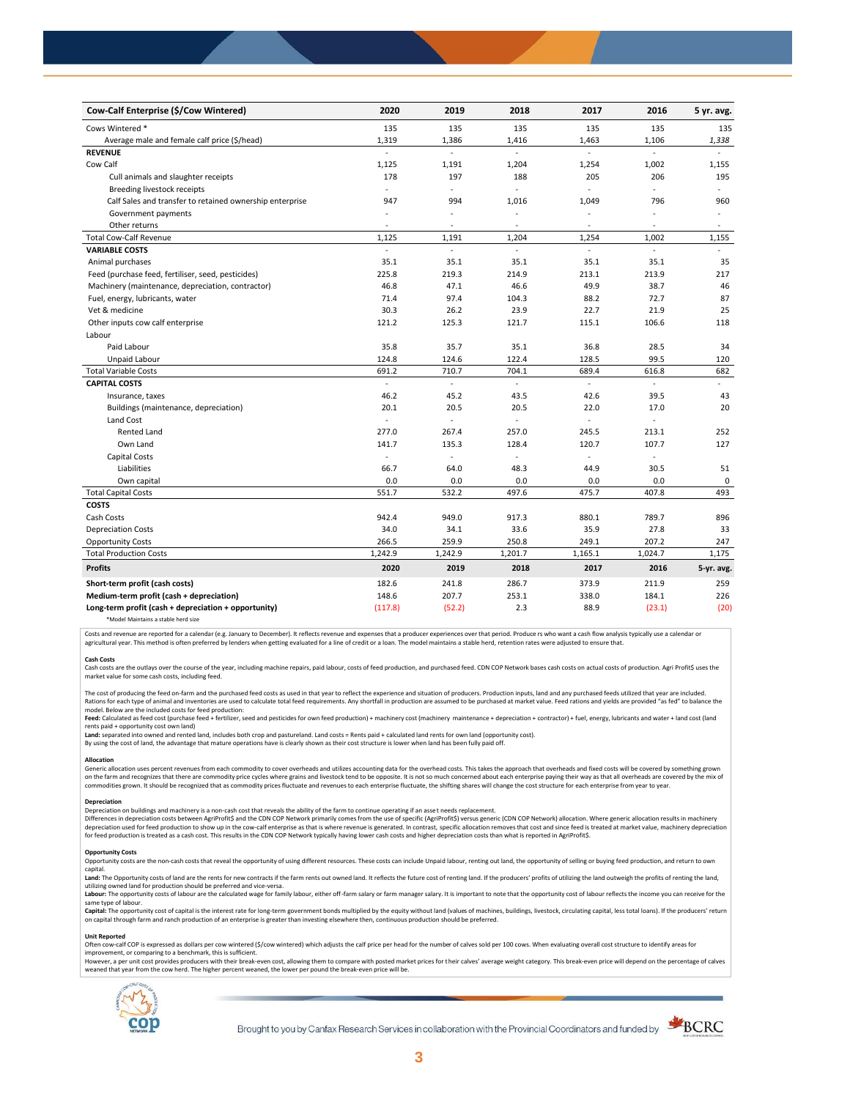| Cow-Calf Enterprise (\$/Cow Wintered)                    | 2020                     | 2019    | 2018                     | 2017                     | 2016    | 5 yr. avg.     |
|----------------------------------------------------------|--------------------------|---------|--------------------------|--------------------------|---------|----------------|
| Cows Wintered *                                          | 135                      | 135     | 135                      | 135                      | 135     | 135            |
| Average male and female calf price (\$/head)             | 1,319                    | 1,386   | 1,416                    | 1,463                    | 1,106   | 1,338          |
| <b>REVENUE</b>                                           |                          | L.      | L.                       |                          | ä,      |                |
| Cow Calf                                                 | 1,125                    | 1,191   | 1,204                    | 1,254                    | 1,002   | 1,155          |
| Cull animals and slaughter receipts                      | 178                      | 197     | 188                      | 205                      | 206     | 195            |
| Breeding livestock receipts                              | ÷.                       | ä,      | $\blacksquare$           | ä,                       | ÷       | $\sim$         |
| Calf Sales and transfer to retained ownership enterprise | 947                      | 994     | 1,016                    | 1,049                    | 796     | 960            |
| Government payments                                      | $\sim$                   | ÷,      | ÷,                       | ÷,                       |         | $\blacksquare$ |
| Other returns                                            | $\overline{\phantom{a}}$ | ٠       | $\overline{\phantom{a}}$ | $\overline{\phantom{a}}$ | ä,      | $\sim$         |
| <b>Total Cow-Calf Revenue</b>                            | 1,125                    | 1,191   | 1,204                    | 1,254                    | 1,002   | 1,155          |
| <b>VARIABLE COSTS</b>                                    | ÷.                       | $\sim$  | $\omega$                 | ä,                       | ÷.      |                |
| Animal purchases                                         | 35.1                     | 35.1    | 35.1                     | 35.1                     | 35.1    | 35             |
| Feed (purchase feed, fertiliser, seed, pesticides)       | 225.8                    | 219.3   | 214.9                    | 213.1                    | 213.9   | 217            |
| Machinery (maintenance, depreciation, contractor)        | 46.8                     | 47.1    | 46.6                     | 49.9                     | 38.7    | 46             |
| Fuel, energy, lubricants, water                          | 71.4                     | 97.4    | 104.3                    | 88.2                     | 72.7    | 87             |
| Vet & medicine                                           | 30.3                     | 26.2    | 23.9                     | 22.7                     | 21.9    | 25             |
| Other inputs cow calf enterprise                         | 121.2                    | 125.3   | 121.7                    | 115.1                    | 106.6   | 118            |
| Labour                                                   |                          |         |                          |                          |         |                |
| Paid Labour                                              | 35.8                     | 35.7    | 35.1                     | 36.8                     | 28.5    | 34             |
| Unpaid Labour                                            | 124.8                    | 124.6   | 122.4                    | 128.5                    | 99.5    | 120            |
| <b>Total Variable Costs</b>                              | 691.2                    | 710.7   | 704.1                    | 689.4                    | 616.8   | 682            |
| <b>CAPITAL COSTS</b>                                     |                          |         |                          |                          |         |                |
| Insurance, taxes                                         | 46.2                     | 45.2    | 43.5                     | 42.6                     | 39.5    | 43             |
| Buildings (maintenance, depreciation)                    | 20.1                     | 20.5    | 20.5                     | 22.0                     | 17.0    | 20             |
| Land Cost                                                | ÷,                       | ä,      |                          |                          |         |                |
| <b>Rented Land</b>                                       | 277.0                    | 267.4   | 257.0                    | 245.5                    | 213.1   | 252            |
| Own Land                                                 | 141.7                    | 135.3   | 128.4                    | 120.7                    | 107.7   | 127            |
| <b>Capital Costs</b>                                     | ä,                       |         |                          | ä,                       | ÷.      |                |
| Liabilities                                              | 66.7                     | 64.0    | 48.3                     | 44.9                     | 30.5    | 51             |
| Own capital                                              | 0.0                      | 0.0     | 0.0                      | 0.0                      | 0.0     | 0              |
| <b>Total Capital Costs</b>                               | 551.7                    | 532.2   | 497.6                    | 475.7                    | 407.8   | 493            |
| <b>COSTS</b>                                             |                          |         |                          |                          |         |                |
| Cash Costs                                               | 942.4                    | 949.0   | 917.3                    | 880.1                    | 789.7   | 896            |
| <b>Depreciation Costs</b>                                | 34.0                     | 34.1    | 33.6                     | 35.9                     | 27.8    | 33             |
| <b>Opportunity Costs</b>                                 | 266.5                    | 259.9   | 250.8                    | 249.1                    | 207.2   | 247            |
| <b>Total Production Costs</b>                            | 1,242.9                  | 1,242.9 | 1,201.7                  | 1,165.1                  | 1,024.7 | 1,175          |
| <b>Profits</b>                                           | 2020                     | 2019    | 2018                     | 2017                     | 2016    | 5-yr. avg.     |
| Short-term profit (cash costs)                           | 182.6                    | 241.8   | 286.7                    | 373.9                    | 211.9   | 259            |
| Medium-term profit (cash + depreciation)                 | 148.6                    | 207.7   | 253.1                    | 338.0                    | 184.1   | 226            |
| Long-term profit (cash + depreciation + opportunity)     | (117.8)                  | (52.2)  | 2.3                      | 88.9                     | (23.1)  | (20)           |
|                                                          |                          |         |                          |                          |         |                |

\*Model Maintains a stable herd size

Costs and revenue are reported for a calendar (e.g. January to December). It reflects revenue and expenses that a producer experiences over that period. Produce rs who want a cash flow analysis typically use a calendar or agricultural year. This method is often preferred by lenders when getting evaluated for a line of credit or a loan. The model maintains a stable herd, retention rates were adjusted to ensure that

**Cash Costs**<br>Cash costs are the outlays over the course of the year, including machine repairs, paid labour, costs of feed production, and purchased feed. CDN COP Network bases cash costs on actual costs of production. Agr market value for some cash costs, including feed.

The cost of producing the feed on-farm and the purchased feed costs as used in that year to reflect the experience and situation of producers. Production inputs, land and any purchased feeds utilized that year are included model. Below are the included costs for feed production:

### moder.com/what we musule control feed + fertilizer, seed and pesticides for own feed production) + machinery cost (machinery maintenance + depreciation + contractor) + fuel, energy, lubricants and water + land cost (land rents paid + opportunity cost own land)

**Land:** separated into owned and rented land, includes both crop and pastureland. Land costs = Rents paid + calculated land rents for own land (opportunity cost).

By using the cost of land, the advantage that mature operations have is clearly shown as their cost structure is lower when land has been fully paid off.

## **Allocation**

Generic allocation uses percent revenues from each commodity to cover overheads and utilizes accounting data for the overhead costs. This takes the approach that overheads and fixed costs will be covered by something grown commodities grown. It should be recognized that as commodity prices fluctuate and revenues to each enterprise fluctuate, the shifting shares will change the cost structure for each enterprise from year to year.

# **Depreciation**

Depreciation on buildings and machinery is a non-cash cost that reveals the ability of the farm to continue operating if an asset needs replacement. Differences in depreciation costs between AgriProfit\$ and the CDN COP Network primarily comes from the use of specific (AgriProfit\$) versus generic (CDN COP Network) allocation. Where generic allocation results in machiner

#### **Opportunity Costs**

Provision the non-cash costs that reveal the opportunity of using different resources. These costs can include Unpaid labour, renting out land, the opportunity of selling or buying feed production, and return to own capital.

Land: The Opportunity costs of land are the rents for new contracts if the farm rents out owned land. It reflects the future cost of renting land. If the producers' profits of utilizing the land outweigh the profits of ren utilizing owned land for production should be preferred and vice-versa.<br>**Labour:** The opportunity costs of labour are the calculated wage for family labour, either off-farm salary or farm manager salary. It is important to

same type of labour.

**Capita**l: The opportunity cost of capital is the interest rate for long-term government bonds multiplied by the equity without land (values of machines, buildings, livestock, circulating capital, less total loans). If the

## **Unit Reported**

Often cow-calf COP is expressed as dollars per cow wintered (\$/cow wintered) which adjusts the calf price per head for the number of calves sold per 100 cows. When evaluating overall cost structure to identify areas for<br>im

however..experimation to the content with the relationship of the break-even cost. allowing them to compare with posted market prices for their calves' average weight category. This break-even price will depend on the perc weaned that year from the cow herd. The higher percent weaned, the lower per pound the break-even price will be.



Brought to you by Canfax Research Services in collaboration with the Provincial Coordinators and funded by